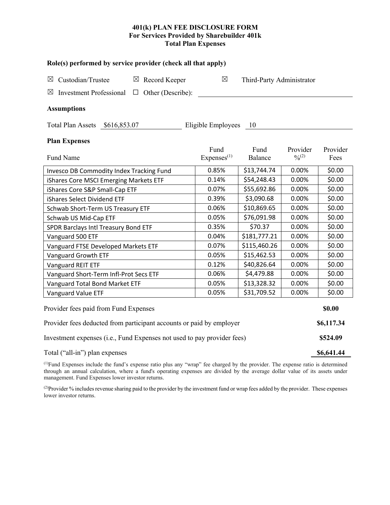# **401(k) PLAN FEE DISCLOSURE FORM For Services Provided by Sharebuilder 401k Total Plan Expenses**

| Role(s) performed by service provider (check all that apply)                       |                                |                           |                         |                  |  |  |  |  |  |
|------------------------------------------------------------------------------------|--------------------------------|---------------------------|-------------------------|------------------|--|--|--|--|--|
| Custodian/Trustee<br>$\boxtimes$ Record Keeper<br>$\boxtimes$                      | $\boxtimes$                    | Third-Party Administrator |                         |                  |  |  |  |  |  |
| Investment Professional $\Box$ Other (Describe):<br>$\boxtimes$                    |                                |                           |                         |                  |  |  |  |  |  |
| <b>Assumptions</b>                                                                 |                                |                           |                         |                  |  |  |  |  |  |
| Total Plan Assets \$616,853.07                                                     | Eligible Employees             | - 10                      |                         |                  |  |  |  |  |  |
| <b>Plan Expenses</b>                                                               |                                |                           |                         |                  |  |  |  |  |  |
| Fund Name                                                                          | Fund<br>Express <sup>(1)</sup> | Fund<br>Balance           | Provider<br>$0/0^{(2)}$ | Provider<br>Fees |  |  |  |  |  |
| Invesco DB Commodity Index Tracking Fund                                           | 0.85%                          | \$13,744.74               | 0.00%                   | \$0.00           |  |  |  |  |  |
| iShares Core MSCI Emerging Markets ETF                                             | 0.14%                          | \$54,248.43               | 0.00%                   | \$0.00           |  |  |  |  |  |
| iShares Core S&P Small-Cap ETF                                                     | 0.07%                          | \$55,692.86               | 0.00%                   | \$0.00           |  |  |  |  |  |
| iShares Select Dividend ETF                                                        | 0.39%                          | \$3,090.68                | 0.00%                   | \$0.00           |  |  |  |  |  |
| Schwab Short-Term US Treasury ETF                                                  | 0.06%                          | \$10,869.65               | 0.00%                   | \$0.00           |  |  |  |  |  |
| Schwab US Mid-Cap ETF                                                              | 0.05%                          | \$76,091.98               | 0.00%                   | \$0.00           |  |  |  |  |  |
| SPDR Barclays Intl Treasury Bond ETF                                               | 0.35%                          | \$70.37                   | 0.00%                   | \$0.00           |  |  |  |  |  |
| Vanguard 500 ETF                                                                   | 0.04%                          | \$181,777.21              | 0.00%                   | \$0.00           |  |  |  |  |  |
| Vanguard FTSE Developed Markets ETF                                                | 0.07%                          | \$115,460.26              | 0.00%                   | \$0.00           |  |  |  |  |  |
| Vanguard Growth ETF                                                                | 0.05%                          | \$15,462.53               | 0.00%                   | \$0.00           |  |  |  |  |  |
| Vanguard REIT ETF                                                                  | 0.12%                          | \$40,826.64               | 0.00%                   | \$0.00           |  |  |  |  |  |
| Vanguard Short-Term Infl-Prot Secs ETF                                             | 0.06%                          | \$4,479.88                | 0.00%                   | \$0.00           |  |  |  |  |  |
| Vanguard Total Bond Market ETF                                                     | 0.05%                          | \$13,328.32               | 0.00%                   | \$0.00           |  |  |  |  |  |
| Vanguard Value ETF                                                                 | 0.05%                          | \$31,709.52               | 0.00%                   | \$0.00           |  |  |  |  |  |
| Provider fees paid from Fund Expenses                                              |                                |                           |                         | \$0.00           |  |  |  |  |  |
| Provider fees deducted from participant accounts or paid by employer<br>\$6,117.34 |                                |                           |                         |                  |  |  |  |  |  |

Investment expenses (i.e., Fund Expenses not used to pay provider fees) **\$524.09** Total ("all-in") plan expenses **\$6,641.44** 

(1) Fund Expenses include the fund's expense ratio plus any "wrap" fee charged by the provider. The expense ratio is determined through an annual calculation, where a fund's operating expenses are divided by the average dollar value of its assets under management. Fund Expenses lower investor returns.

(2) Provider % includes revenue sharing paid to the provider by the investment fund or wrap fees added by the provider. These expenses lower investor returns.